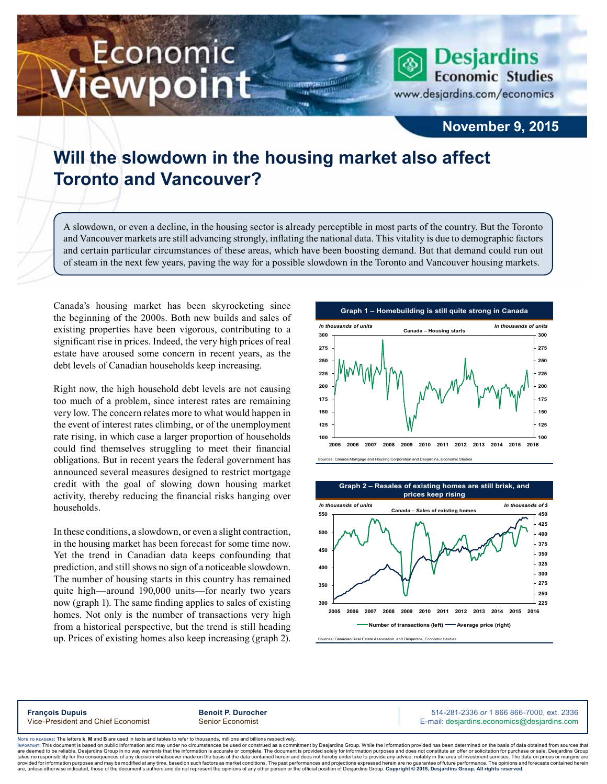# Economic ewpoint



### **November 9, 2015**

## **Will the slowdown in the housing market also affect Toronto and Vancouver?**

A slowdown, or even a decline, in the housing sector is already perceptible in most parts of the country. But the Toronto and Vancouver markets are still advancing strongly, inflating the national data. This vitality is due to demographic factors and certain particular circumstances of these areas, which have been boosting demand. But that demand could run out of steam in the next few years, paving the way for a possible slowdown in the Toronto and Vancouver housing markets.

,,,

Canada's housing market has been skyrocketing since the beginning of the 2000s. Both new builds and sales of existing properties have been vigorous, contributing to a significant rise in prices. Indeed, the very high prices of real estate have aroused some concern in recent years, as the debt levels of Canadian households keep increasing.

Right now, the high household debt levels are not causing too much of a problem, since interest rates are remaining very low. The concern relates more to what would happen in the event of interest rates climbing, or of the unemployment rate rising, in which case a larger proportion of households could find themselves struggling to meet their financial obligations. But in recent years the federal government has announced several measures designed to restrict mortgage credit with the goal of slowing down housing market activity, thereby reducing the financial risks hanging over households.

In these conditions, a slowdown, or even a slight contraction, in the housing market has been forecast for some time now. Yet the trend in Canadian data keeps confounding that prediction, and still shows no sign of a noticeable slowdown. The number of housing starts in this country has remained quite high—around 190,000 units—for nearly two years now (graph 1). The same finding applies to sales of existing homes. Not only is the number of transactions very high from a historical perspective, but the trend is still heading up. Prices of existing homes also keep increasing (graph 2).





an Real Estate Association and Desjardins, Economic Studies

**François Dupuis Benoit P. Durocher** 514-281-2336 *or* 1 866 866-7000, ext. 2336 Vice-President and Chief Economist Senior Economist Senior Economist E-mail: desjardins.economics@desjardins.com

Noте то келоекs: The letters **k, M** and **B** are used in texts and tables to refer to thousands, millions and billions respectively.<br>Імроктлит: This document is based on public information and may under no circumstances be are deemed to be reliable. Desiardins Group in no way warrants that the information is accurate or complete. The document is provided solely for information purposes and does not constitute an offer or solicitation for pur takes no responsibility for the consequences of any decision whatsoever made on the basis of the data contained herein and does not hereby undertake to provide any advice, notably in the area of investment services. The da .<br>are, unless otherwise indicated, those of the document's authors and do not represent the opinions of any other person or the official position of Desjardins Group. Copyright © 2015, Desjardins Group. All rights reserve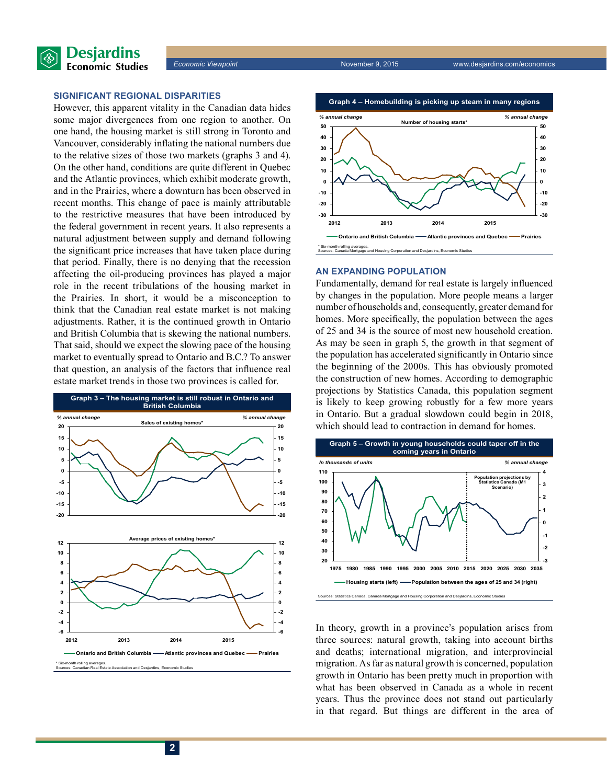

#### **Significant regional disparities**

However, this apparent vitality in the Canadian data hides some major divergences from one region to another. On one hand, the housing market is still strong in Toronto and Vancouver, considerably inflating the national numbers due to the relative sizes of those two markets (graphs 3 and 4). On the other hand, conditions are quite different in Quebec and the Atlantic provinces, which exhibit moderate growth, and in the Prairies, where a downturn has been observed in recent months. This change of pace is mainly attributable to the restrictive measures that have been introduced by the federal government in recent years. It also represents a natural adjustment between supply and demand following the significant price increases that have taken place during that period. Finally, there is no denying that the recession affecting the oil-producing provinces has played a major role in the recent tribulations of the housing market in the Prairies. In short, it would be a misconception to think that the Canadian real estate market is not making adjustments. Rather, it is the continued growth in Ontario and British Columbia that is skewing the national numbers. That said, should we expect the slowing pace of the housing market to eventually spread to Ontario and B.C.? To answer that question, an analysis of the factors that influence real estate market trends in those two provinces is called for.





#### **An expanding population**

Fundamentally, demand for real estate is largely influenced by changes in the population. More people means a larger number of households and, consequently, greater demand for homes. More specifically, the population between the ages of 25 and 34 is the source of most new household creation. As may be seen in graph 5, the growth in that segment of the population has accelerated significantly in Ontario since the beginning of the 2000s. This has obviously promoted the construction of new homes. According to demographic projections by Statistics Canada, this population segment is likely to keep growing robustly for a few more years in Ontario. But a gradual slowdown could begin in 2018, which should lead to contraction in demand for homes.



In theory, growth in a province's population arises from three sources: natural growth, taking into account births and deaths; international migration, and interprovincial migration. As far as natural growth is concerned, population growth in Ontario has been pretty much in proportion with what has been observed in Canada as a whole in recent years. Thus the province does not stand out particularly in that regard. But things are different in the area of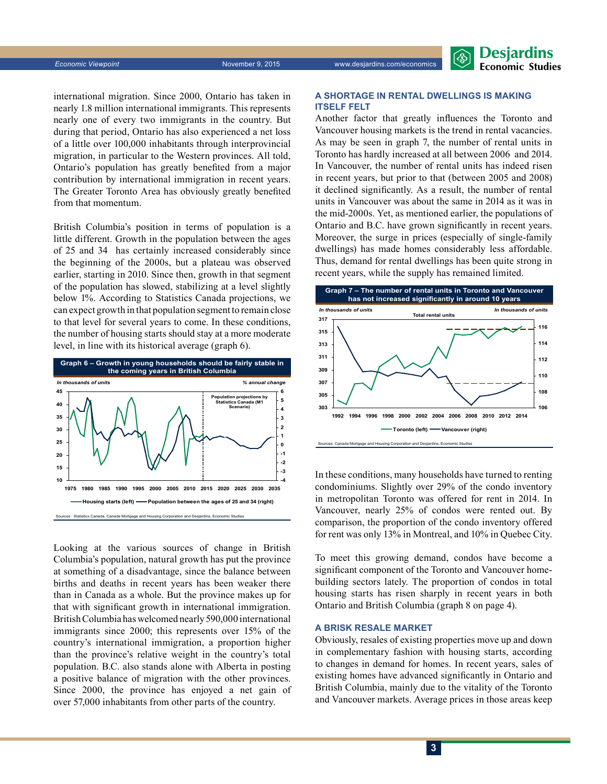**Economic Viewpoint** November 9, 2015 www.desjardins.com/economics



international migration. Since 2000, Ontario has taken in nearly 1.8 million international immigrants. This represents nearly one of every two immigrants in the country. But during that period, Ontario has also experienced a net loss of a little over 100,000 inhabitants through interprovincial migration, in particular to the Western provinces. All told, Ontario's population has greatly benefited from a major contribution by international immigration in recent years. The Greater Toronto Area has obviously greatly benefited from that momentum.

British Columbia's position in terms of population is a little different. Growth in the population between the ages of 25 and 34 has certainly increased considerably since the beginning of the 2000s, but a plateau was observed earlier, starting in 2010. Since then, growth in that segment of the population has slowed, stabilizing at a level slightly below 1%. According to Statistics Canada projections, we can expect growth in that population segment to remain close to that level for several years to come. In these conditions, the number of housing starts should stay at a more moderate level, in line with its historical average (graph 6).



Looking at the various sources of change in British Columbia's population, natural growth has put the province at something of a disadvantage, since the balance between births and deaths in recent years has been weaker there than in Canada as a whole. But the province makes up for that with significant growth in international immigration. BritishColumbia has welcomed nearly 590,000 international immigrants since 2000; this represents over 15% of the country's international immigration, a proportion higher than the province's relative weight in the country's total population. B.C. also stands alone with Alberta in posting a positive balance of migration with the other provinces. Since 2000, the province has enjoyed a net gain of over 57,000 inhabitants from other parts of the country.

#### **A shortage in rental dwellings is making itself felt**

Another factor that greatly influences the Toronto and Vancouver housing markets is the trend in rental vacancies. As may be seen in graph 7, the number of rental units in Toronto has hardly increased at all between 2006 and 2014. In Vancouver, the number of rental units has indeed risen in recent years, but prior to that (between 2005 and 2008) it declined significantly. As a result, the number of rental units in Vancouver was about the same in 2014 as it was in the mid-2000s. Yet, as mentioned earlier, the populations of Ontario and B.C. have grown significantly in recent years. Moreover, the surge in prices (especially of single-family dwellings) has made homes considerably less affordable. Thus, demand for rental dwellings has been quite strong in recent years, while the supply has remained limited.



In these conditions, many households have turned to renting condominiums. Slightly over 29% of the condo inventory in metropolitan Toronto was offered for rent in 2014. In Vancouver, nearly 25% of condos were rented out. By comparison, the proportion of the condo inventory offered for rent was only 13% in Montreal, and 10% in Quebec City.

To meet this growing demand, condos have become a significant component of the Toronto and Vancouver homebuilding sectors lately. The proportion of condos in total housing starts has risen sharply in recent years in both Ontario and British Columbia (graph 8 on page 4).

#### **A brisk resale market**

Obviously, resales of existing properties move up and down in complementary fashion with housing starts, according to changes in demand for homes. In recent years, sales of existing homes have advanced significantly in Ontario and British Columbia, mainly due to the vitality of the Toronto and Vancouver markets. Average prices in those areas keep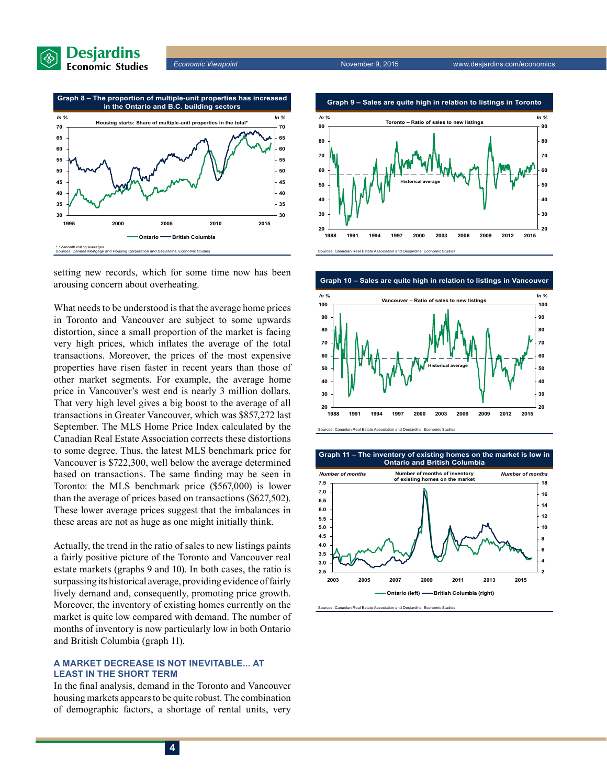





What needs to be understood is that the average home prices in Toronto and Vancouver are subject to some upwards distortion, since a small proportion of the market is facing very high prices, which inflates the average of the total transactions. Moreover, the prices of the most expensive properties have risen faster in recent years than those of other market segments. For example, the average home price in Vancouver's west end is nearly 3 million dollars. That very high level gives a big boost to the average of all transactions in Greater Vancouver, which was \$857,272 last September. The MLS Home Price Index calculated by the Canadian Real Estate Association corrects these distortions to some degree. Thus, the latest MLS benchmark price for Vancouver is \$722,300, well below the average determined based on transactions. The same finding may be seen in Toronto: the MLS benchmark price (\$567,000) is lower than the average of prices based on transactions (\$627,502). These lower average prices suggest that the imbalances in these areas are not as huge as one might initially think.

Actually, the trend in the ratio of sales to new listings paints a fairly positive picture of the Toronto and Vancouver real estate markets (graphs 9 and 10). In both cases, the ratio is surpassing its historical average, providing evidence of fairly lively demand and, consequently, promoting price growth. Moreover, the inventory of existing homes currently on the market is quite low compared with demand. The number of months of inventory is now particularly low in both Ontario and British Columbia (graph 11).

#### **A market decrease is not inevitable... at least in the short term**

In the final analysis, demand in the Toronto and Vancouver housing markets appears to be quite robust. The combination of demographic factors, a shortage of rental units, very





**Graph 11 – The inventory of existing homes on the market is low in Ontario and British Columbia**